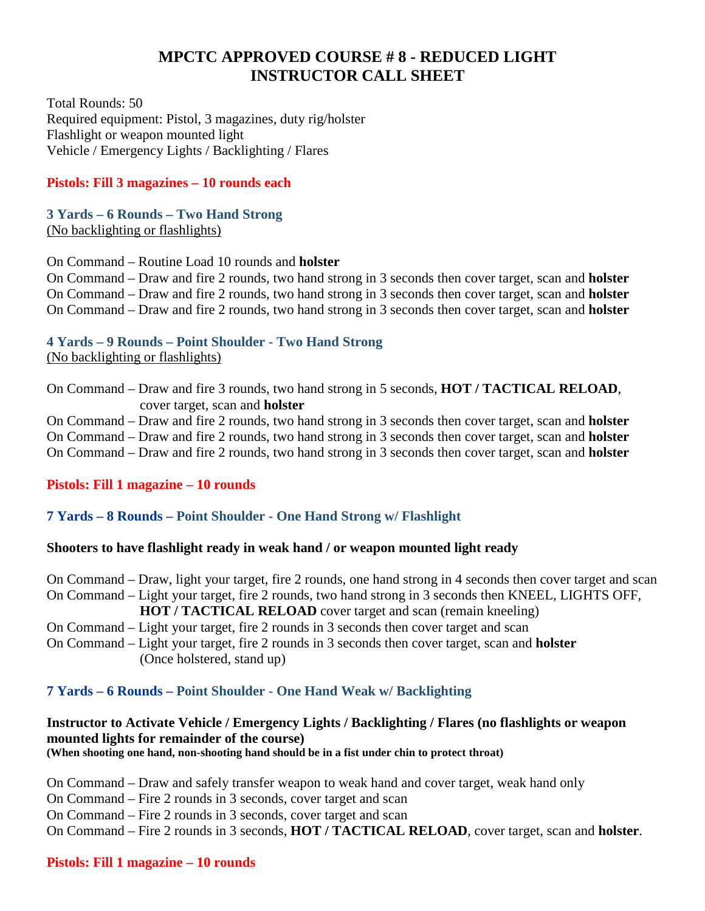# **MPCTC APPROVED COURSE # 8 - REDUCED LIGHT INSTRUCTOR CALL SHEET**

Total Rounds: 50 Required equipment: Pistol, 3 magazines, duty rig/holster Flashlight or weapon mounted light Vehicle / Emergency Lights / Backlighting / Flares

# **Pistols: Fill 3 magazines – 10 rounds each**

**3 Yards – 6 Rounds – Two Hand Strong**  (No backlighting or flashlights)

On Command – Routine Load 10 rounds and **holster**

On Command – Draw and fire 2 rounds, two hand strong in 3 seconds then cover target, scan and **holster** On Command – Draw and fire 2 rounds, two hand strong in 3 seconds then cover target, scan and **holster** On Command – Draw and fire 2 rounds, two hand strong in 3 seconds then cover target, scan and **holster**

# **4 Yards – 9 Rounds – Point Shoulder - Two Hand Strong**

(No backlighting or flashlights)

On Command – Draw and fire 3 rounds, two hand strong in 5 seconds, **HOT / TACTICAL RELOAD**, cover target, scan and **holster**

On Command – Draw and fire 2 rounds, two hand strong in 3 seconds then cover target, scan and **holster** On Command – Draw and fire 2 rounds, two hand strong in 3 seconds then cover target, scan and **holster** On Command – Draw and fire 2 rounds, two hand strong in 3 seconds then cover target, scan and **holster**

# **Pistols: Fill 1 magazine – 10 rounds**

# **7 Yards – 8 Rounds – Point Shoulder - One Hand Strong w/ Flashlight**

# **Shooters to have flashlight ready in weak hand / or weapon mounted light ready**

On Command – Draw, light your target, fire 2 rounds, one hand strong in 4 seconds then cover target and scan On Command – Light your target, fire 2 rounds, two hand strong in 3 seconds then KNEEL, LIGHTS OFF, **HOT / TACTICAL RELOAD** cover target and scan (remain kneeling) On Command – Light your target, fire 2 rounds in 3 seconds then cover target and scan

On Command – Light your target, fire 2 rounds in 3 seconds then cover target, scan and **holster** (Once holstered, stand up)

# **7 Yards – 6 Rounds – Point Shoulder - One Hand Weak w/ Backlighting**

# **Instructor to Activate Vehicle / Emergency Lights / Backlighting / Flares (no flashlights or weapon mounted lights for remainder of the course)**

**(When shooting one hand, non-shooting hand should be in a fist under chin to protect throat)**

On Command – Draw and safely transfer weapon to weak hand and cover target, weak hand only

On Command – Fire 2 rounds in 3 seconds, cover target and scan

On Command – Fire 2 rounds in 3 seconds, cover target and scan

On Command – Fire 2 rounds in 3 seconds, **HOT / TACTICAL RELOAD**, cover target, scan and **holster**.

#### **Pistols: Fill 1 magazine – 10 rounds**